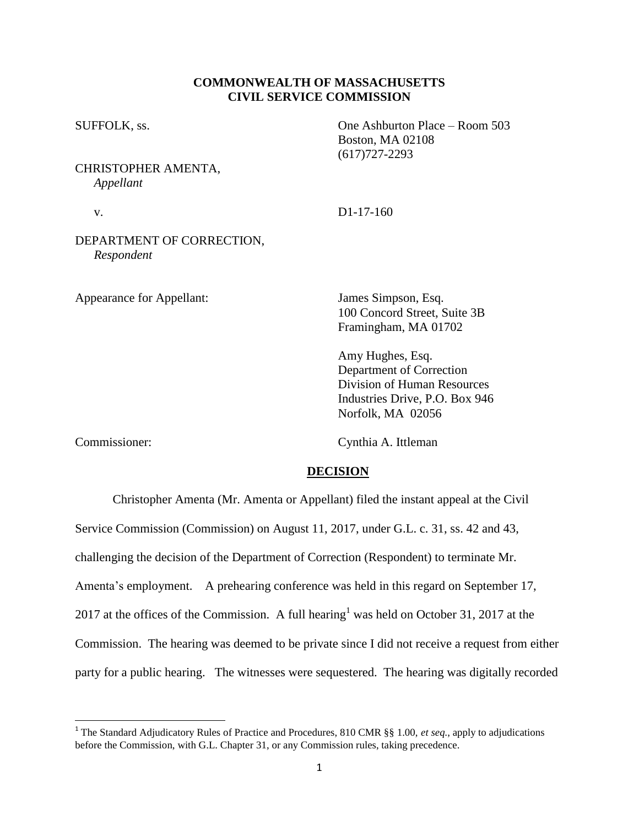## **COMMONWEALTH OF MASSACHUSETTS CIVIL SERVICE COMMISSION**

SUFFOLK, ss. One Ashburton Place – Room 503

CHRISTOPHER AMENTA, *Appellant*

v. D1-17-160

Boston, MA 02108 (617)727-2293

## DEPARTMENT OF CORRECTION, *Respondent*

Appearance for Appellant: James Simpson, Esq.

100 Concord Street, Suite 3B Framingham, MA 01702

Amy Hughes, Esq. Department of Correction Division of Human Resources Industries Drive, P.O. Box 946 Norfolk, MA 02056

Commissioner: Cynthia A. Ittleman

## **DECISION**

Christopher Amenta (Mr. Amenta or Appellant) filed the instant appeal at the Civil

Service Commission (Commission) on August 11, 2017, under G.L. c. 31, ss. 42 and 43,

challenging the decision of the Department of Correction (Respondent) to terminate Mr.

Amenta's employment. A prehearing conference was held in this regard on September 17,

2017 at the offices of the Commission. A full hearing<sup>1</sup> was held on October 31, 2017 at the

Commission. The hearing was deemed to be private since I did not receive a request from either

party for a public hearing. The witnesses were sequestered. The hearing was digitally recorded

 1 The Standard Adjudicatory Rules of Practice and Procedures, 810 CMR §§ 1.00, *et seq.*, apply to adjudications before the Commission, with G.L. Chapter 31, or any Commission rules, taking precedence.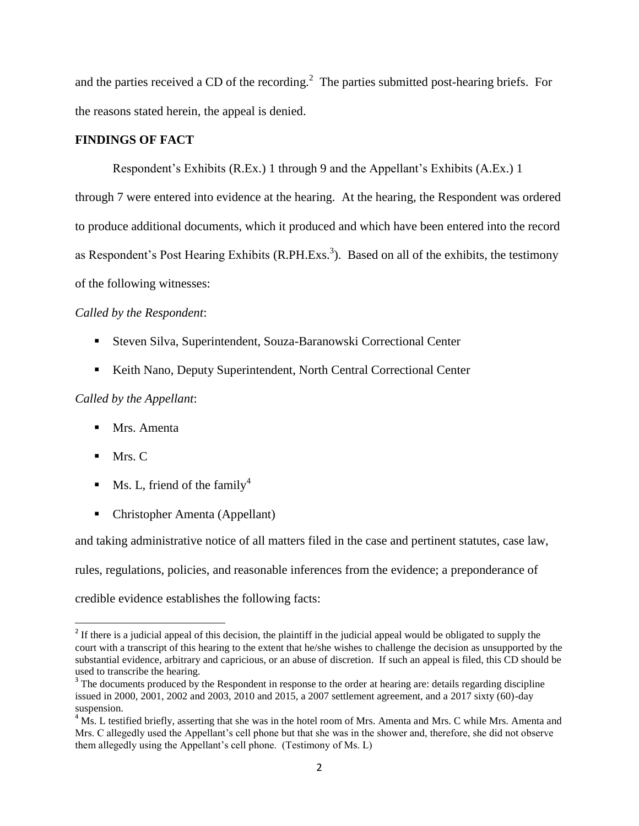and the parties received a CD of the recording.<sup>2</sup> The parties submitted post-hearing briefs. For the reasons stated herein, the appeal is denied.

## **FINDINGS OF FACT**

Respondent's Exhibits (R.Ex.) 1 through 9 and the Appellant's Exhibits (A.Ex.) 1 through 7 were entered into evidence at the hearing. At the hearing, the Respondent was ordered to produce additional documents, which it produced and which have been entered into the record as Respondent's Post Hearing Exhibits (R.PH.Exs.<sup>3</sup>). Based on all of the exhibits, the testimony of the following witnesses:

### *Called by the Respondent*:

- Steven Silva, Superintendent, Souza-Baranowski Correctional Center
- Keith Nano, Deputy Superintendent, North Central Correctional Center

# *Called by the Appellant*:

- **Mrs. Amenta**
- $Mrs.C$

 $\overline{\phantom{a}}$ 

- $\blacksquare$  Ms. L, friend of the family<sup>4</sup>
- Christopher Amenta (Appellant)

and taking administrative notice of all matters filed in the case and pertinent statutes, case law,

rules, regulations, policies, and reasonable inferences from the evidence; a preponderance of

credible evidence establishes the following facts:

 $2<sup>2</sup>$  If there is a judicial appeal of this decision, the plaintiff in the judicial appeal would be obligated to supply the court with a transcript of this hearing to the extent that he/she wishes to challenge the decision as unsupported by the substantial evidence, arbitrary and capricious, or an abuse of discretion. If such an appeal is filed, this CD should be used to transcribe the hearing.

 $3$  The documents produced by the Respondent in response to the order at hearing are: details regarding discipline issued in 2000, 2001, 2002 and 2003, 2010 and 2015, a 2007 settlement agreement, and a 2017 sixty (60)-day suspension.

 $<sup>4</sup>$  Ms. L testified briefly, asserting that she was in the hotel room of Mrs. Amenta and Mrs. C while Mrs. Amenta and</sup> Mrs. C allegedly used the Appellant's cell phone but that she was in the shower and, therefore, she did not observe them allegedly using the Appellant's cell phone. (Testimony of Ms. L)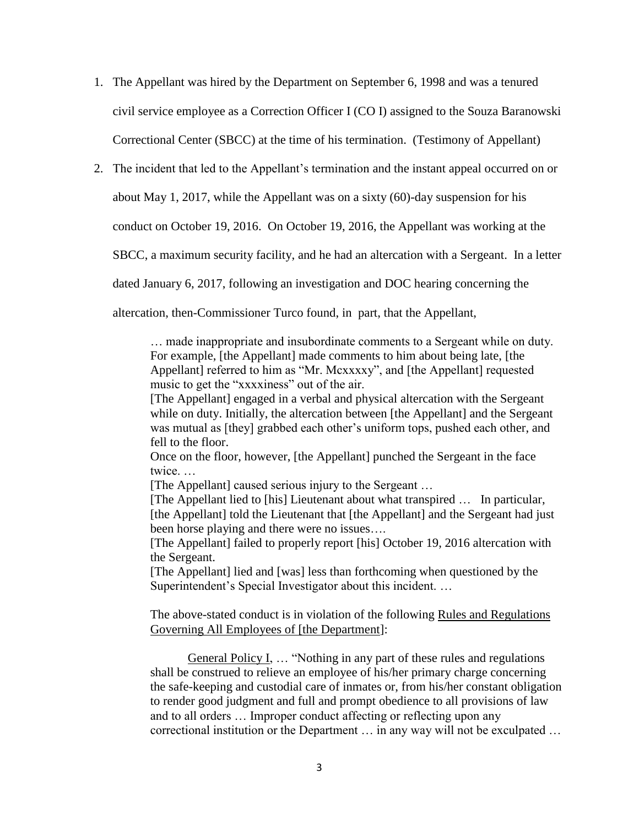- 1. The Appellant was hired by the Department on September 6, 1998 and was a tenured civil service employee as a Correction Officer I (CO I) assigned to the Souza Baranowski Correctional Center (SBCC) at the time of his termination. (Testimony of Appellant)
- 2. The incident that led to the Appellant's termination and the instant appeal occurred on or

about May 1, 2017, while the Appellant was on a sixty (60)-day suspension for his

conduct on October 19, 2016. On October 19, 2016, the Appellant was working at the

SBCC, a maximum security facility, and he had an altercation with a Sergeant. In a letter

dated January 6, 2017, following an investigation and DOC hearing concerning the

altercation, then-Commissioner Turco found, in part, that the Appellant,

… made inappropriate and insubordinate comments to a Sergeant while on duty. For example, [the Appellant] made comments to him about being late, [the Appellant] referred to him as "Mr. Mcxxxxy", and [the Appellant] requested music to get the "xxxxiness" out of the air.

[The Appellant] engaged in a verbal and physical altercation with the Sergeant while on duty. Initially, the altercation between [the Appellant] and the Sergeant was mutual as [they] grabbed each other's uniform tops, pushed each other, and fell to the floor.

Once on the floor, however, [the Appellant] punched the Sergeant in the face twice. …

[The Appellant] caused serious injury to the Sergeant …

[The Appellant lied to [his] Lieutenant about what transpired … In particular, [the Appellant] told the Lieutenant that [the Appellant] and the Sergeant had just been horse playing and there were no issues….

[The Appellant] failed to properly report [his] October 19, 2016 altercation with the Sergeant.

[The Appellant] lied and [was] less than forthcoming when questioned by the Superintendent's Special Investigator about this incident. …

The above-stated conduct is in violation of the following Rules and Regulations Governing All Employees of [the Department]:

General Policy I, … "Nothing in any part of these rules and regulations shall be construed to relieve an employee of his/her primary charge concerning the safe-keeping and custodial care of inmates or, from his/her constant obligation to render good judgment and full and prompt obedience to all provisions of law and to all orders … Improper conduct affecting or reflecting upon any correctional institution or the Department … in any way will not be exculpated …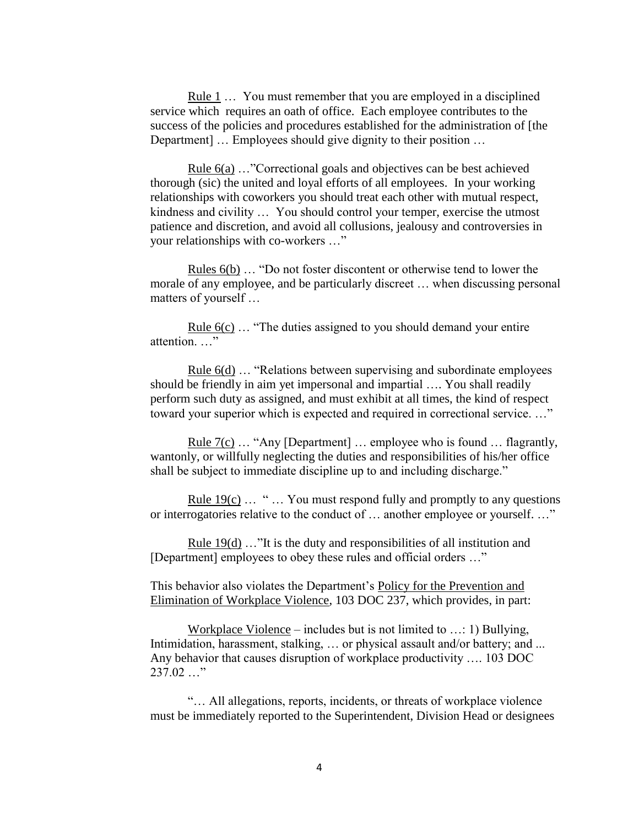Rule 1 ... You must remember that you are employed in a disciplined service which requires an oath of office. Each employee contributes to the success of the policies and procedures established for the administration of [the Department] … Employees should give dignity to their position …

Rule 6(a) …"Correctional goals and objectives can be best achieved thorough (sic) the united and loyal efforts of all employees. In your working relationships with coworkers you should treat each other with mutual respect, kindness and civility … You should control your temper, exercise the utmost patience and discretion, and avoid all collusions, jealousy and controversies in your relationships with co-workers …"

Rules 6(b) … "Do not foster discontent or otherwise tend to lower the morale of any employee, and be particularly discreet … when discussing personal matters of yourself …

Rule 6(c) … "The duties assigned to you should demand your entire attention. …"

Rule 6(d) … "Relations between supervising and subordinate employees should be friendly in aim yet impersonal and impartial …. You shall readily perform such duty as assigned, and must exhibit at all times, the kind of respect toward your superior which is expected and required in correctional service. …"

Rule 7(c) … "Any [Department] … employee who is found … flagrantly, wantonly, or willfully neglecting the duties and responsibilities of his/her office shall be subject to immediate discipline up to and including discharge."

Rule  $19(c)$  ... " ... You must respond fully and promptly to any questions or interrogatories relative to the conduct of … another employee or yourself. …"

Rule 19(d) …"It is the duty and responsibilities of all institution and [Department] employees to obey these rules and official orders ..."

This behavior also violates the Department's Policy for the Prevention and Elimination of Workplace Violence, 103 DOC 237, which provides, in part:

Workplace Violence – includes but is not limited to …: 1) Bullying, Intimidation, harassment, stalking, … or physical assault and/or battery; and ... Any behavior that causes disruption of workplace productivity …. 103 DOC 237.02 …"

"… All allegations, reports, incidents, or threats of workplace violence must be immediately reported to the Superintendent, Division Head or designees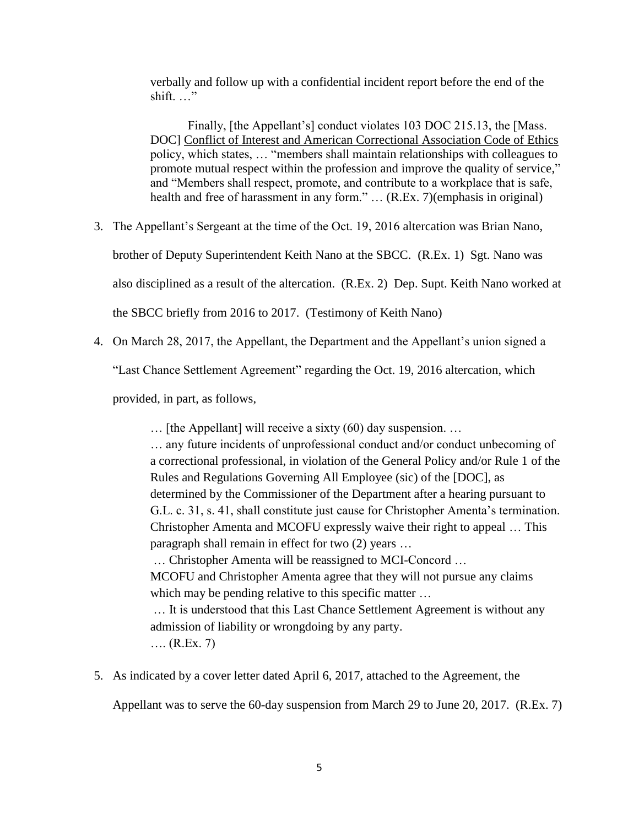verbally and follow up with a confidential incident report before the end of the shift. …"

Finally, [the Appellant's] conduct violates 103 DOC 215.13, the [Mass. DOC] Conflict of Interest and American Correctional Association Code of Ethics policy, which states, … "members shall maintain relationships with colleagues to promote mutual respect within the profession and improve the quality of service," and "Members shall respect, promote, and contribute to a workplace that is safe, health and free of harassment in any form." ... (R.Ex. 7)(emphasis in original)

3. The Appellant's Sergeant at the time of the Oct. 19, 2016 altercation was Brian Nano,

brother of Deputy Superintendent Keith Nano at the SBCC. (R.Ex. 1) Sgt. Nano was

also disciplined as a result of the altercation. (R.Ex. 2) Dep. Supt. Keith Nano worked at

the SBCC briefly from 2016 to 2017. (Testimony of Keith Nano)

4. On March 28, 2017, the Appellant, the Department and the Appellant's union signed a

"Last Chance Settlement Agreement" regarding the Oct. 19, 2016 altercation, which

provided, in part, as follows,

… [the Appellant] will receive a sixty (60) day suspension. …

… any future incidents of unprofessional conduct and/or conduct unbecoming of a correctional professional, in violation of the General Policy and/or Rule 1 of the Rules and Regulations Governing All Employee (sic) of the [DOC], as determined by the Commissioner of the Department after a hearing pursuant to G.L. c. 31, s. 41, shall constitute just cause for Christopher Amenta's termination. Christopher Amenta and MCOFU expressly waive their right to appeal … This paragraph shall remain in effect for two (2) years …

… Christopher Amenta will be reassigned to MCI-Concord …

MCOFU and Christopher Amenta agree that they will not pursue any claims which may be pending relative to this specific matter ...

… It is understood that this Last Chance Settlement Agreement is without any admission of liability or wrongdoing by any party.

…. (R.Ex. 7)

5. As indicated by a cover letter dated April 6, 2017, attached to the Agreement, the

Appellant was to serve the 60-day suspension from March 29 to June 20, 2017. (R.Ex. 7)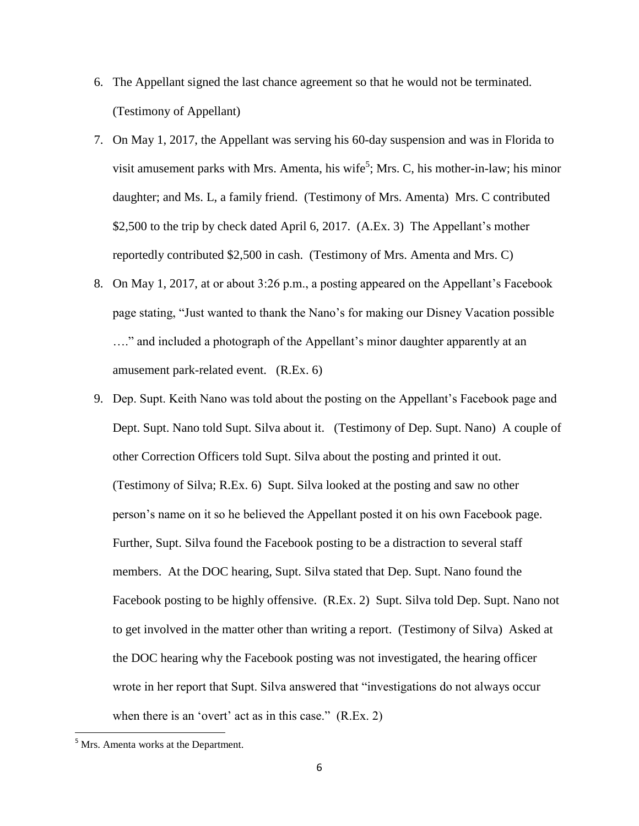- 6. The Appellant signed the last chance agreement so that he would not be terminated. (Testimony of Appellant)
- 7. On May 1, 2017, the Appellant was serving his 60-day suspension and was in Florida to visit amusement parks with Mrs. Amenta, his wife<sup>5</sup>; Mrs. C, his mother-in-law; his minor daughter; and Ms. L, a family friend. (Testimony of Mrs. Amenta) Mrs. C contributed \$2,500 to the trip by check dated April 6, 2017. (A.Ex. 3) The Appellant's mother reportedly contributed \$2,500 in cash. (Testimony of Mrs. Amenta and Mrs. C)
- 8. On May 1, 2017, at or about 3:26 p.m., a posting appeared on the Appellant's Facebook page stating, "Just wanted to thank the Nano's for making our Disney Vacation possible …." and included a photograph of the Appellant's minor daughter apparently at an amusement park-related event. (R.Ex. 6)
- 9. Dep. Supt. Keith Nano was told about the posting on the Appellant's Facebook page and Dept. Supt. Nano told Supt. Silva about it. (Testimony of Dep. Supt. Nano) A couple of other Correction Officers told Supt. Silva about the posting and printed it out. (Testimony of Silva; R.Ex. 6) Supt. Silva looked at the posting and saw no other person's name on it so he believed the Appellant posted it on his own Facebook page. Further, Supt. Silva found the Facebook posting to be a distraction to several staff members. At the DOC hearing, Supt. Silva stated that Dep. Supt. Nano found the Facebook posting to be highly offensive. (R.Ex. 2) Supt. Silva told Dep. Supt. Nano not to get involved in the matter other than writing a report. (Testimony of Silva) Asked at the DOC hearing why the Facebook posting was not investigated, the hearing officer wrote in her report that Supt. Silva answered that "investigations do not always occur when there is an 'overt' act as in this case." (R.Ex. 2)

 $\overline{\phantom{a}}$ 

<sup>&</sup>lt;sup>5</sup> Mrs. Amenta works at the Department.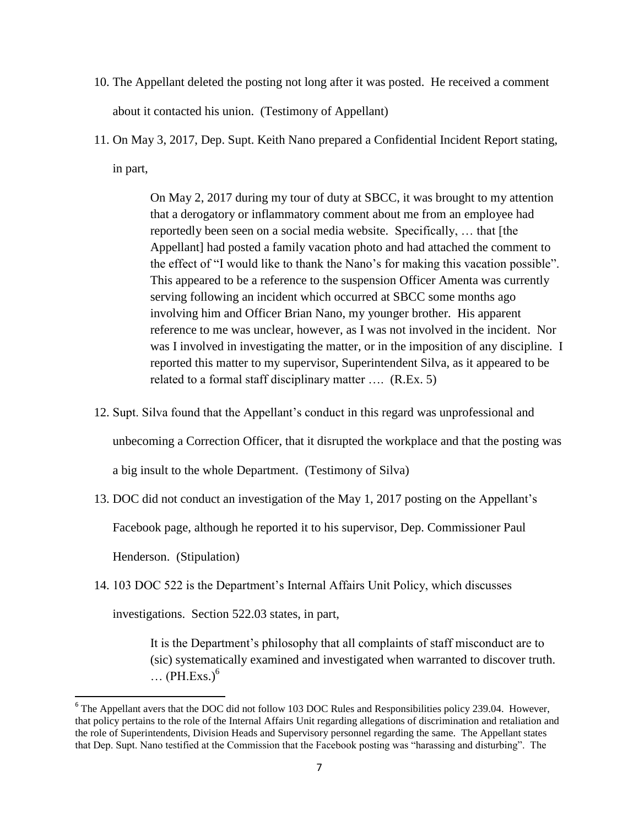- 10. The Appellant deleted the posting not long after it was posted. He received a comment about it contacted his union. (Testimony of Appellant)
- 11. On May 3, 2017, Dep. Supt. Keith Nano prepared a Confidential Incident Report stating, in part,

On May 2, 2017 during my tour of duty at SBCC, it was brought to my attention that a derogatory or inflammatory comment about me from an employee had reportedly been seen on a social media website. Specifically, … that [the Appellant] had posted a family vacation photo and had attached the comment to the effect of "I would like to thank the Nano's for making this vacation possible". This appeared to be a reference to the suspension Officer Amenta was currently serving following an incident which occurred at SBCC some months ago involving him and Officer Brian Nano, my younger brother. His apparent reference to me was unclear, however, as I was not involved in the incident. Nor was I involved in investigating the matter, or in the imposition of any discipline. I reported this matter to my supervisor, Superintendent Silva, as it appeared to be related to a formal staff disciplinary matter …. (R.Ex. 5)

12. Supt. Silva found that the Appellant's conduct in this regard was unprofessional and

unbecoming a Correction Officer, that it disrupted the workplace and that the posting was

a big insult to the whole Department. (Testimony of Silva)

13. DOC did not conduct an investigation of the May 1, 2017 posting on the Appellant's

Facebook page, although he reported it to his supervisor, Dep. Commissioner Paul

Henderson. (Stipulation)

 $\overline{\phantom{a}}$ 

14. 103 DOC 522 is the Department's Internal Affairs Unit Policy, which discusses

investigations. Section 522.03 states, in part,

It is the Department's philosophy that all complaints of staff misconduct are to (sic) systematically examined and investigated when warranted to discover truth.  $\ldots$  (PH.Exs.)<sup>6</sup>

<sup>&</sup>lt;sup>6</sup> The Appellant avers that the DOC did not follow 103 DOC Rules and Responsibilities policy 239.04. However, that policy pertains to the role of the Internal Affairs Unit regarding allegations of discrimination and retaliation and the role of Superintendents, Division Heads and Supervisory personnel regarding the same. The Appellant states that Dep. Supt. Nano testified at the Commission that the Facebook posting was "harassing and disturbing". The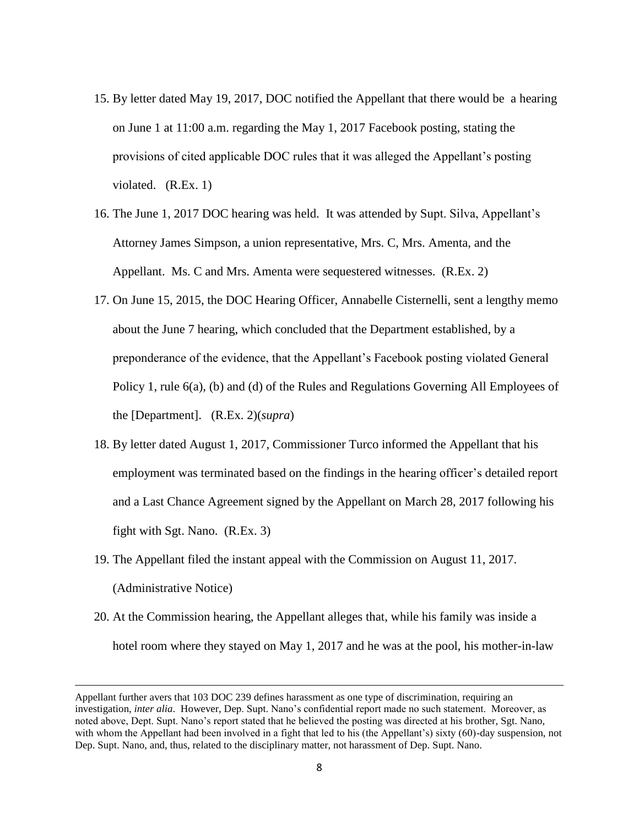- 15. By letter dated May 19, 2017, DOC notified the Appellant that there would be a hearing on June 1 at 11:00 a.m. regarding the May 1, 2017 Facebook posting, stating the provisions of cited applicable DOC rules that it was alleged the Appellant's posting violated. (R.Ex. 1)
- 16. The June 1, 2017 DOC hearing was held. It was attended by Supt. Silva, Appellant's Attorney James Simpson, a union representative, Mrs. C, Mrs. Amenta, and the Appellant. Ms. C and Mrs. Amenta were sequestered witnesses. (R.Ex. 2)
- 17. On June 15, 2015, the DOC Hearing Officer, Annabelle Cisternelli, sent a lengthy memo about the June 7 hearing, which concluded that the Department established, by a preponderance of the evidence, that the Appellant's Facebook posting violated General Policy 1, rule 6(a), (b) and (d) of the Rules and Regulations Governing All Employees of the [Department]. (R.Ex. 2)(*supra*)
- 18. By letter dated August 1, 2017, Commissioner Turco informed the Appellant that his employment was terminated based on the findings in the hearing officer's detailed report and a Last Chance Agreement signed by the Appellant on March 28, 2017 following his fight with Sgt. Nano. (R.Ex. 3)
- 19. The Appellant filed the instant appeal with the Commission on August 11, 2017. (Administrative Notice)
- 20. At the Commission hearing, the Appellant alleges that, while his family was inside a hotel room where they stayed on May 1, 2017 and he was at the pool, his mother-in-law

 $\overline{a}$ 

Appellant further avers that 103 DOC 239 defines harassment as one type of discrimination, requiring an investigation, *inter alia*. However, Dep. Supt. Nano's confidential report made no such statement. Moreover, as noted above, Dept. Supt. Nano's report stated that he believed the posting was directed at his brother, Sgt. Nano, with whom the Appellant had been involved in a fight that led to his (the Appellant's) sixty (60)-day suspension, not Dep. Supt. Nano, and, thus, related to the disciplinary matter, not harassment of Dep. Supt. Nano.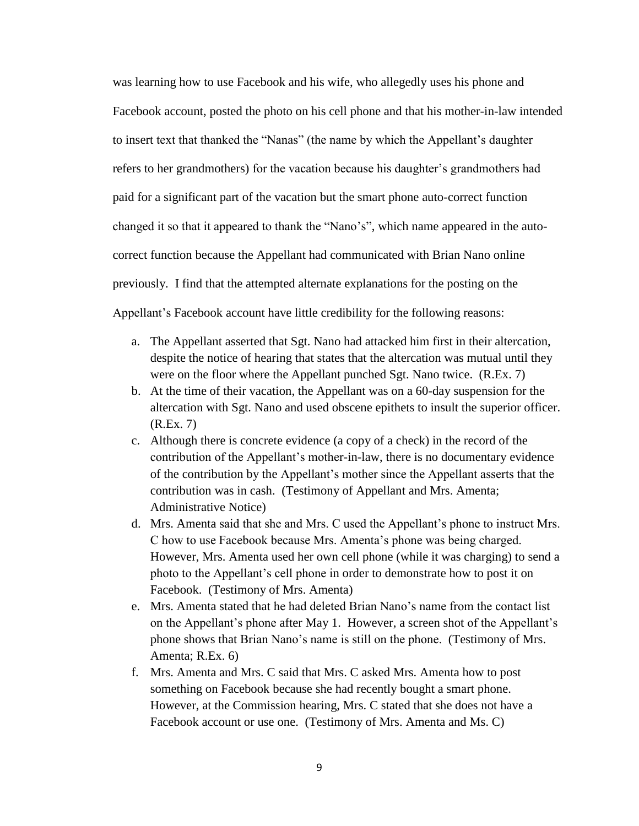was learning how to use Facebook and his wife, who allegedly uses his phone and Facebook account, posted the photo on his cell phone and that his mother-in-law intended to insert text that thanked the "Nanas" (the name by which the Appellant's daughter refers to her grandmothers) for the vacation because his daughter's grandmothers had paid for a significant part of the vacation but the smart phone auto-correct function changed it so that it appeared to thank the "Nano's", which name appeared in the autocorrect function because the Appellant had communicated with Brian Nano online previously. I find that the attempted alternate explanations for the posting on the Appellant's Facebook account have little credibility for the following reasons:

- a. The Appellant asserted that Sgt. Nano had attacked him first in their altercation, despite the notice of hearing that states that the altercation was mutual until they were on the floor where the Appellant punched Sgt. Nano twice. (R.Ex. 7)
- b. At the time of their vacation, the Appellant was on a 60-day suspension for the altercation with Sgt. Nano and used obscene epithets to insult the superior officer. (R.Ex. 7)
- c. Although there is concrete evidence (a copy of a check) in the record of the contribution of the Appellant's mother-in-law, there is no documentary evidence of the contribution by the Appellant's mother since the Appellant asserts that the contribution was in cash. (Testimony of Appellant and Mrs. Amenta; Administrative Notice)
- d. Mrs. Amenta said that she and Mrs. C used the Appellant's phone to instruct Mrs. C how to use Facebook because Mrs. Amenta's phone was being charged. However, Mrs. Amenta used her own cell phone (while it was charging) to send a photo to the Appellant's cell phone in order to demonstrate how to post it on Facebook. (Testimony of Mrs. Amenta)
- e. Mrs. Amenta stated that he had deleted Brian Nano's name from the contact list on the Appellant's phone after May 1. However, a screen shot of the Appellant's phone shows that Brian Nano's name is still on the phone. (Testimony of Mrs. Amenta; R.Ex. 6)
- f. Mrs. Amenta and Mrs. C said that Mrs. C asked Mrs. Amenta how to post something on Facebook because she had recently bought a smart phone. However, at the Commission hearing, Mrs. C stated that she does not have a Facebook account or use one. (Testimony of Mrs. Amenta and Ms. C)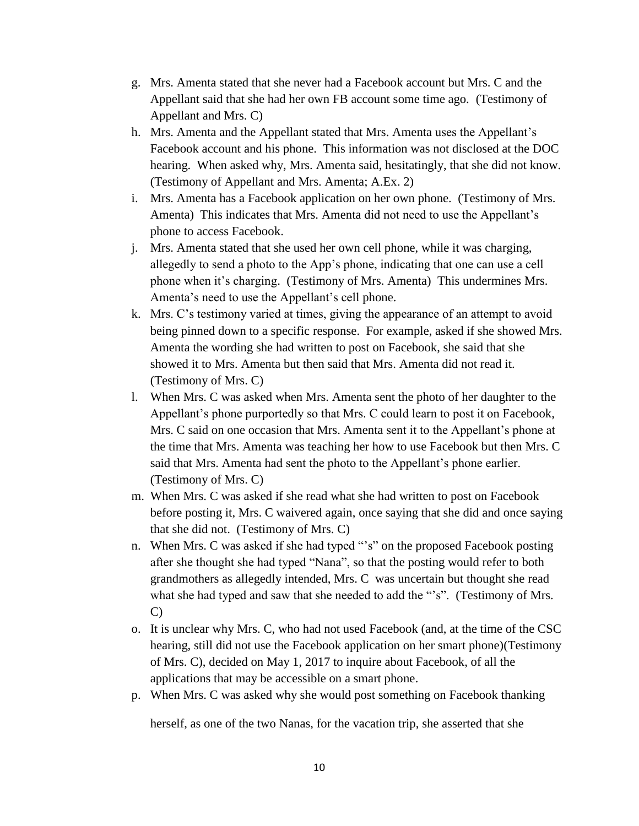- g. Mrs. Amenta stated that she never had a Facebook account but Mrs. C and the Appellant said that she had her own FB account some time ago. (Testimony of Appellant and Mrs. C)
- h. Mrs. Amenta and the Appellant stated that Mrs. Amenta uses the Appellant's Facebook account and his phone. This information was not disclosed at the DOC hearing. When asked why, Mrs. Amenta said, hesitatingly, that she did not know. (Testimony of Appellant and Mrs. Amenta; A.Ex. 2)
- i. Mrs. Amenta has a Facebook application on her own phone. (Testimony of Mrs. Amenta) This indicates that Mrs. Amenta did not need to use the Appellant's phone to access Facebook.
- j. Mrs. Amenta stated that she used her own cell phone, while it was charging, allegedly to send a photo to the App's phone, indicating that one can use a cell phone when it's charging. (Testimony of Mrs. Amenta) This undermines Mrs. Amenta's need to use the Appellant's cell phone.
- k. Mrs. C's testimony varied at times, giving the appearance of an attempt to avoid being pinned down to a specific response. For example, asked if she showed Mrs. Amenta the wording she had written to post on Facebook, she said that she showed it to Mrs. Amenta but then said that Mrs. Amenta did not read it. (Testimony of Mrs. C)
- l. When Mrs. C was asked when Mrs. Amenta sent the photo of her daughter to the Appellant's phone purportedly so that Mrs. C could learn to post it on Facebook, Mrs. C said on one occasion that Mrs. Amenta sent it to the Appellant's phone at the time that Mrs. Amenta was teaching her how to use Facebook but then Mrs. C said that Mrs. Amenta had sent the photo to the Appellant's phone earlier. (Testimony of Mrs. C)
- m. When Mrs. C was asked if she read what she had written to post on Facebook before posting it, Mrs. C waivered again, once saying that she did and once saying that she did not. (Testimony of Mrs. C)
- n. When Mrs. C was asked if she had typed "'s" on the proposed Facebook posting after she thought she had typed "Nana", so that the posting would refer to both grandmothers as allegedly intended, Mrs. C was uncertain but thought she read what she had typed and saw that she needed to add the "'s". (Testimony of Mrs. C)
- o. It is unclear why Mrs. C, who had not used Facebook (and, at the time of the CSC hearing, still did not use the Facebook application on her smart phone)(Testimony of Mrs. C), decided on May 1, 2017 to inquire about Facebook, of all the applications that may be accessible on a smart phone.
- p. When Mrs. C was asked why she would post something on Facebook thanking

herself, as one of the two Nanas, for the vacation trip, she asserted that she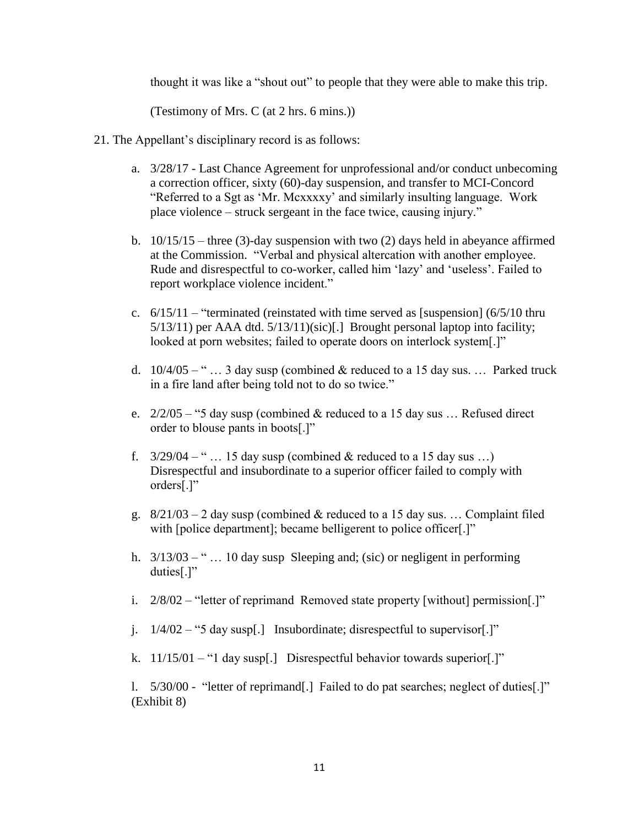thought it was like a "shout out" to people that they were able to make this trip.

(Testimony of Mrs. C (at 2 hrs. 6 mins.))

- 21. The Appellant's disciplinary record is as follows:
	- a. 3/28/17 Last Chance Agreement for unprofessional and/or conduct unbecoming a correction officer, sixty (60)-day suspension, and transfer to MCI-Concord "Referred to a Sgt as 'Mr. Mcxxxxy' and similarly insulting language. Work place violence – struck sergeant in the face twice, causing injury."
	- b. 10/15/15 three (3)-day suspension with two (2) days held in abeyance affirmed at the Commission. "Verbal and physical altercation with another employee. Rude and disrespectful to co-worker, called him 'lazy' and 'useless'. Failed to report workplace violence incident."
	- c.  $6/15/11$  "terminated (reinstated with time served as [suspension] ( $6/5/10$  thru 5/13/11) per AAA dtd. 5/13/11)(sic)[.] Brought personal laptop into facility; looked at porn websites; failed to operate doors on interlock system[.]"
	- d.  $10/4/05 -$  " ... 3 day susp (combined & reduced to a 15 day sus. ... Parked truck in a fire land after being told not to do so twice."
	- e.  $2/2/05 -$  "5 day susp (combined & reduced to a 15 day sus ... Refused direct order to blouse pants in boots[.]"
	- f.  $3/29/04 -$ " ... 15 day susp (combined & reduced to a 15 day sus ...) Disrespectful and insubordinate to a superior officer failed to comply with orders[.]"
	- g.  $8/21/03 2$  day susp (combined & reduced to a 15 day sus. ... Complaint filed with [police department]; became belligerent to police officer[.]"
	- h.  $3/13/03 -$ " ... 10 day susp Sleeping and; (sic) or negligent in performing duties[.]"
	- i. 2/8/02 "letter of reprimand Removed state property [without] permission[.]"
	- j. 1/4/02 "5 day susp[.] Insubordinate; disrespectful to supervisor[.]"
	- k.  $11/15/01 -$  "1 day susp[.] Disrespectful behavior towards superior[.]"

l. 5/30/00 - "letter of reprimand[.] Failed to do pat searches; neglect of duties[.]" (Exhibit 8)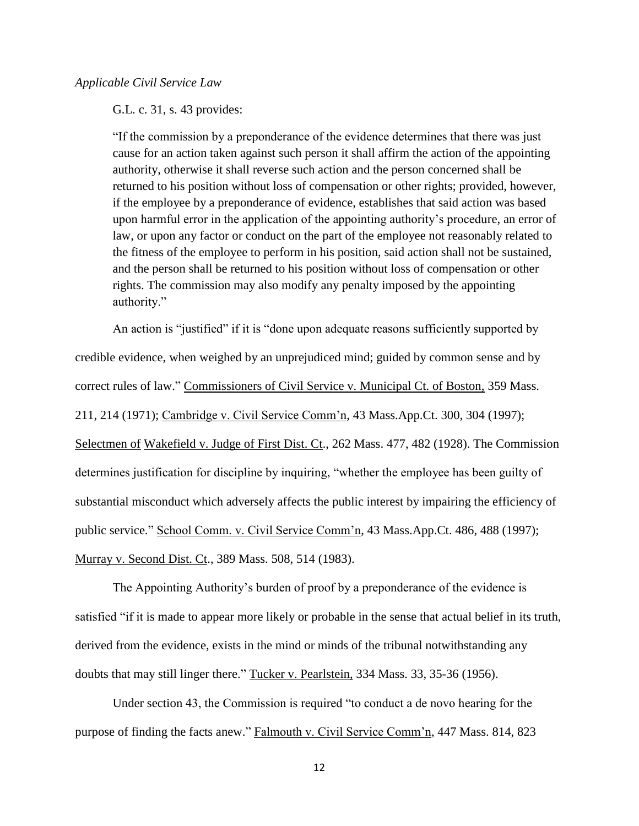G.L. c. 31, s. 43 provides:

"If the commission by a preponderance of the evidence determines that there was just cause for an action taken against such person it shall affirm the action of the appointing authority, otherwise it shall reverse such action and the person concerned shall be returned to his position without loss of compensation or other rights; provided, however, if the employee by a preponderance of evidence, establishes that said action was based upon harmful error in the application of the appointing authority's procedure, an error of law, or upon any factor or conduct on the part of the employee not reasonably related to the fitness of the employee to perform in his position, said action shall not be sustained, and the person shall be returned to his position without loss of compensation or other rights. The commission may also modify any penalty imposed by the appointing authority."

An action is "justified" if it is "done upon adequate reasons sufficiently supported by credible evidence, when weighed by an unprejudiced mind; guided by common sense and by correct rules of law." Commissioners of Civil Service v. Municipal Ct. of Boston, 359 Mass. 211, 214 (1971); Cambridge v. Civil Service Comm'n, 43 Mass.App.Ct. 300, 304 (1997); Selectmen of Wakefield v. Judge of First Dist. Ct., 262 Mass. 477, 482 (1928). The Commission determines justification for discipline by inquiring, "whether the employee has been guilty of substantial misconduct which adversely affects the public interest by impairing the efficiency of public service." School Comm. v. Civil Service Comm'n, 43 Mass.App.Ct. 486, 488 (1997); Murray v. Second Dist. Ct., 389 Mass. 508, 514 (1983).

The Appointing Authority's burden of proof by a preponderance of the evidence is satisfied "if it is made to appear more likely or probable in the sense that actual belief in its truth, derived from the evidence, exists in the mind or minds of the tribunal notwithstanding any doubts that may still linger there." Tucker v. Pearlstein, 334 Mass. 33, 35-36 (1956).

Under section 43, the Commission is required "to conduct a de novo hearing for the purpose of finding the facts anew." Falmouth v. Civil Service Comm'n, 447 Mass. 814, 823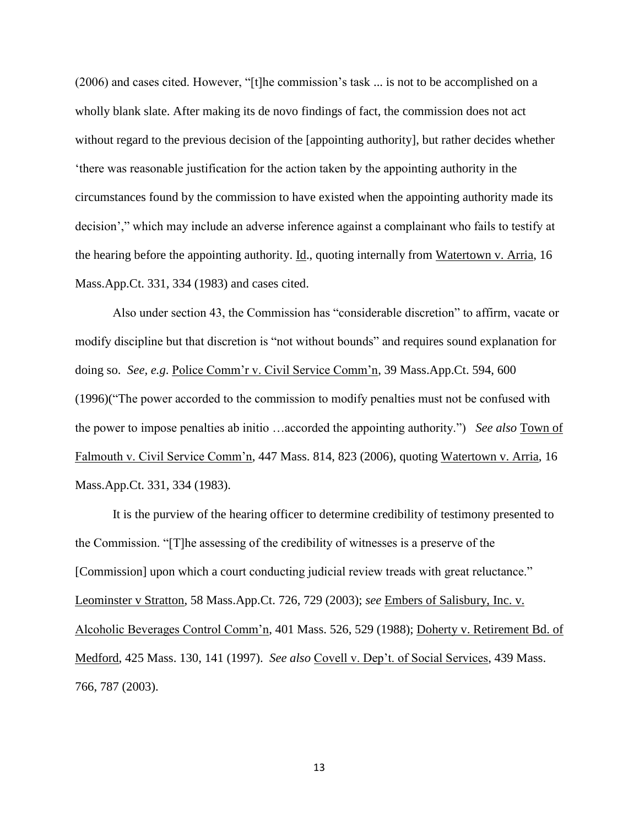(2006) and cases cited. However, "[t]he commission's task ... is not to be accomplished on a wholly blank slate. After making its de novo findings of fact, the commission does not act without regard to the previous decision of the [appointing authority], but rather decides whether 'there was reasonable justification for the action taken by the appointing authority in the circumstances found by the commission to have existed when the appointing authority made its decision'," which may include an adverse inference against a complainant who fails to testify at the hearing before the appointing authority. Id., quoting internally from Watertown v. Arria, 16 Mass.App.Ct. 331, 334 (1983) and cases cited.

Also under section 43, the Commission has "considerable discretion" to affirm, vacate or modify discipline but that discretion is "not without bounds" and requires sound explanation for doing so. *See, e.g*. Police Comm'r v. Civil Service Comm'n, 39 Mass.App.Ct. 594, 600 (1996)("The power accorded to the commission to modify penalties must not be confused with the power to impose penalties ab initio …accorded the appointing authority.") *See also* Town of Falmouth v. Civil Service Comm'n, 447 Mass. 814, 823 (2006), quoting Watertown v. Arria, 16 Mass.App.Ct. 331, 334 (1983).

It is the purview of the hearing officer to determine credibility of testimony presented to the Commission. "[T]he assessing of the credibility of witnesses is a preserve of the [Commission] upon which a court conducting judicial review treads with great reluctance." Leominster v Stratton, 58 Mass.App.Ct. 726, 729 (2003); *see* Embers of Salisbury, Inc. v. Alcoholic Beverages Control Comm'n, 401 Mass. 526, 529 (1988); Doherty v. Retirement Bd. of Medford, 425 Mass. 130, 141 (1997). *See also* Covell v. Dep't. of Social Services, 439 Mass. 766, 787 (2003).

13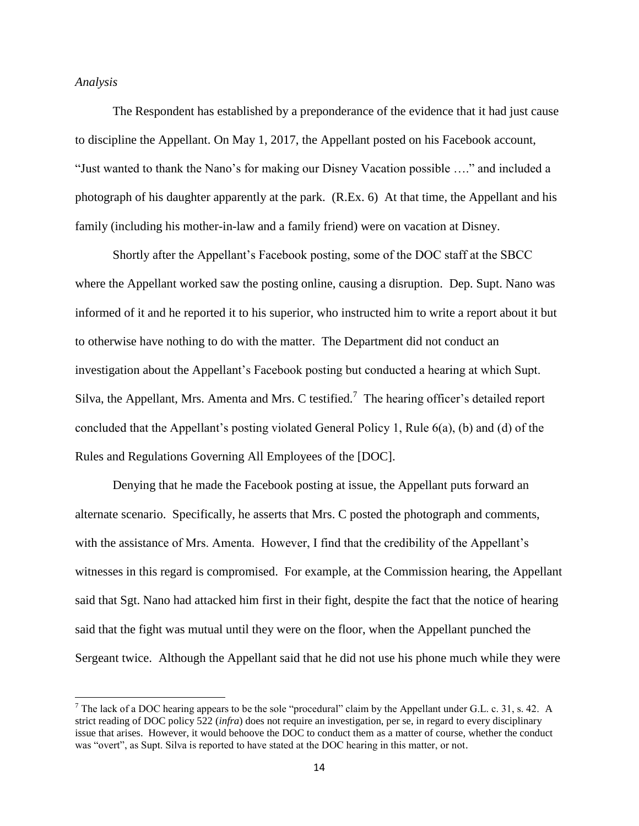#### *Analysis*

 $\overline{\phantom{a}}$ 

The Respondent has established by a preponderance of the evidence that it had just cause to discipline the Appellant. On May 1, 2017, the Appellant posted on his Facebook account, "Just wanted to thank the Nano's for making our Disney Vacation possible …." and included a photograph of his daughter apparently at the park. (R.Ex. 6) At that time, the Appellant and his family (including his mother-in-law and a family friend) were on vacation at Disney.

Shortly after the Appellant's Facebook posting, some of the DOC staff at the SBCC where the Appellant worked saw the posting online, causing a disruption. Dep. Supt. Nano was informed of it and he reported it to his superior, who instructed him to write a report about it but to otherwise have nothing to do with the matter. The Department did not conduct an investigation about the Appellant's Facebook posting but conducted a hearing at which Supt. Silva, the Appellant, Mrs. Amenta and Mrs. C testified.<sup>7</sup> The hearing officer's detailed report concluded that the Appellant's posting violated General Policy 1, Rule 6(a), (b) and (d) of the Rules and Regulations Governing All Employees of the [DOC].

Denying that he made the Facebook posting at issue, the Appellant puts forward an alternate scenario. Specifically, he asserts that Mrs. C posted the photograph and comments, with the assistance of Mrs. Amenta. However, I find that the credibility of the Appellant's witnesses in this regard is compromised. For example, at the Commission hearing, the Appellant said that Sgt. Nano had attacked him first in their fight, despite the fact that the notice of hearing said that the fight was mutual until they were on the floor, when the Appellant punched the Sergeant twice. Although the Appellant said that he did not use his phone much while they were

<sup>&</sup>lt;sup>7</sup> The lack of a DOC hearing appears to be the sole "procedural" claim by the Appellant under G.L. c. 31, s. 42. A strict reading of DOC policy 522 (*infra*) does not require an investigation, per se, in regard to every disciplinary issue that arises. However, it would behoove the DOC to conduct them as a matter of course, whether the conduct was "overt", as Supt. Silva is reported to have stated at the DOC hearing in this matter, or not.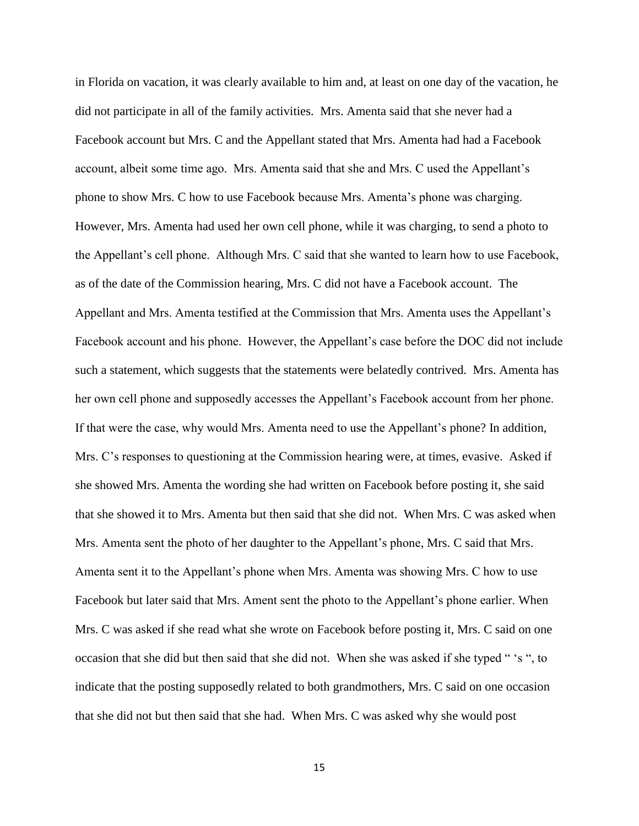in Florida on vacation, it was clearly available to him and, at least on one day of the vacation, he did not participate in all of the family activities. Mrs. Amenta said that she never had a Facebook account but Mrs. C and the Appellant stated that Mrs. Amenta had had a Facebook account, albeit some time ago. Mrs. Amenta said that she and Mrs. C used the Appellant's phone to show Mrs. C how to use Facebook because Mrs. Amenta's phone was charging. However, Mrs. Amenta had used her own cell phone, while it was charging, to send a photo to the Appellant's cell phone. Although Mrs. C said that she wanted to learn how to use Facebook, as of the date of the Commission hearing, Mrs. C did not have a Facebook account. The Appellant and Mrs. Amenta testified at the Commission that Mrs. Amenta uses the Appellant's Facebook account and his phone. However, the Appellant's case before the DOC did not include such a statement, which suggests that the statements were belatedly contrived. Mrs. Amenta has her own cell phone and supposedly accesses the Appellant's Facebook account from her phone. If that were the case, why would Mrs. Amenta need to use the Appellant's phone? In addition, Mrs. C's responses to questioning at the Commission hearing were, at times, evasive. Asked if she showed Mrs. Amenta the wording she had written on Facebook before posting it, she said that she showed it to Mrs. Amenta but then said that she did not. When Mrs. C was asked when Mrs. Amenta sent the photo of her daughter to the Appellant's phone, Mrs. C said that Mrs. Amenta sent it to the Appellant's phone when Mrs. Amenta was showing Mrs. C how to use Facebook but later said that Mrs. Ament sent the photo to the Appellant's phone earlier. When Mrs. C was asked if she read what she wrote on Facebook before posting it, Mrs. C said on one occasion that she did but then said that she did not. When she was asked if she typed " 's ", to indicate that the posting supposedly related to both grandmothers, Mrs. C said on one occasion that she did not but then said that she had. When Mrs. C was asked why she would post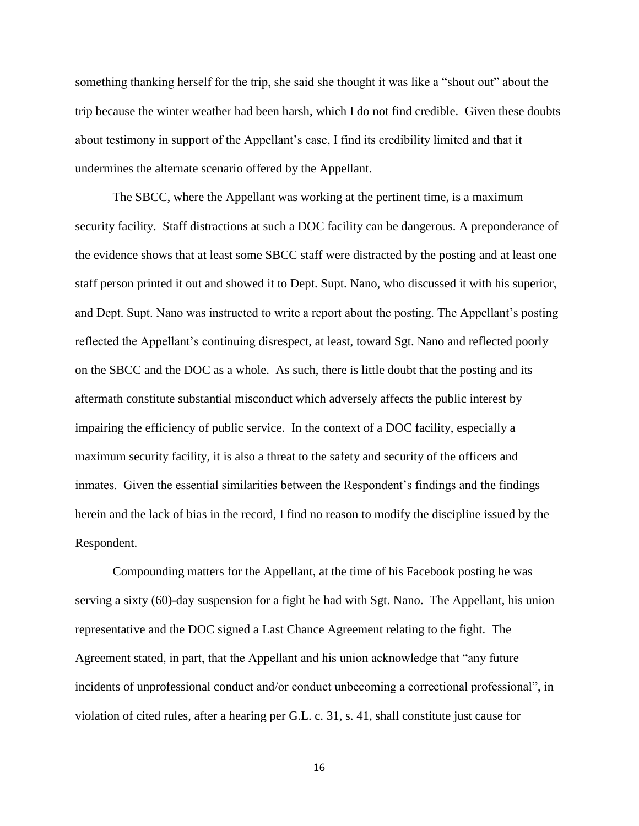something thanking herself for the trip, she said she thought it was like a "shout out" about the trip because the winter weather had been harsh, which I do not find credible. Given these doubts about testimony in support of the Appellant's case, I find its credibility limited and that it undermines the alternate scenario offered by the Appellant.

The SBCC, where the Appellant was working at the pertinent time, is a maximum security facility. Staff distractions at such a DOC facility can be dangerous. A preponderance of the evidence shows that at least some SBCC staff were distracted by the posting and at least one staff person printed it out and showed it to Dept. Supt. Nano, who discussed it with his superior, and Dept. Supt. Nano was instructed to write a report about the posting. The Appellant's posting reflected the Appellant's continuing disrespect, at least, toward Sgt. Nano and reflected poorly on the SBCC and the DOC as a whole. As such, there is little doubt that the posting and its aftermath constitute substantial misconduct which adversely affects the public interest by impairing the efficiency of public service. In the context of a DOC facility, especially a maximum security facility, it is also a threat to the safety and security of the officers and inmates. Given the essential similarities between the Respondent's findings and the findings herein and the lack of bias in the record, I find no reason to modify the discipline issued by the Respondent.

Compounding matters for the Appellant, at the time of his Facebook posting he was serving a sixty (60)-day suspension for a fight he had with Sgt. Nano. The Appellant, his union representative and the DOC signed a Last Chance Agreement relating to the fight. The Agreement stated, in part, that the Appellant and his union acknowledge that "any future incidents of unprofessional conduct and/or conduct unbecoming a correctional professional", in violation of cited rules, after a hearing per G.L. c. 31, s. 41, shall constitute just cause for

16